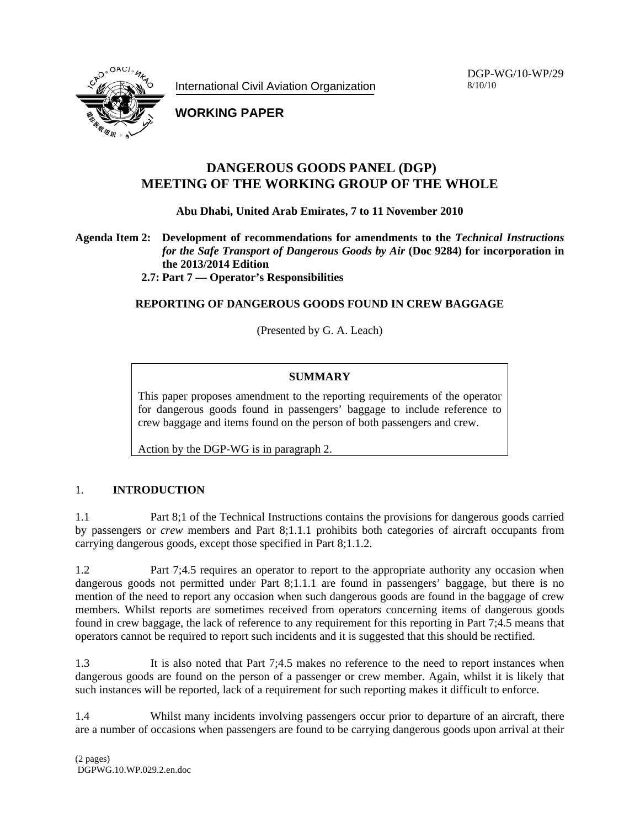International Civil Aviation Organization

DGP-WG/10-WP/29 8/10/10



**WORKING PAPER** 

## **DANGEROUS GOODS PANEL (DGP) MEETING OF THE WORKING GROUP OF THE WHOLE**

**Abu Dhabi, United Arab Emirates, 7 to 11 November 2010** 

**Agenda Item 2: Development of recommendations for amendments to the** *Technical Instructions for the Safe Transport of Dangerous Goods by Air* **(Doc 9284) for incorporation in the 2013/2014 Edition** 

**2.7: Part 7 — Operator's Responsibilities** 

**REPORTING OF DANGEROUS GOODS FOUND IN CREW BAGGAGE** 

(Presented by G. A. Leach)

### **SUMMARY**

This paper proposes amendment to the reporting requirements of the operator for dangerous goods found in passengers' baggage to include reference to crew baggage and items found on the person of both passengers and crew.

Action by the DGP-WG is in paragraph 2.

### 1. **INTRODUCTION**

1.1 Part 8;1 of the Technical Instructions contains the provisions for dangerous goods carried by passengers or *crew* members and Part 8;1.1.1 prohibits both categories of aircraft occupants from carrying dangerous goods, except those specified in Part 8;1.1.2.

1.2 Part 7;4.5 requires an operator to report to the appropriate authority any occasion when dangerous goods not permitted under Part 8;1.1.1 are found in passengers' baggage, but there is no mention of the need to report any occasion when such dangerous goods are found in the baggage of crew members. Whilst reports are sometimes received from operators concerning items of dangerous goods found in crew baggage, the lack of reference to any requirement for this reporting in Part 7;4.5 means that operators cannot be required to report such incidents and it is suggested that this should be rectified.

1.3 It is also noted that Part 7;4.5 makes no reference to the need to report instances when dangerous goods are found on the person of a passenger or crew member. Again, whilst it is likely that such instances will be reported, lack of a requirement for such reporting makes it difficult to enforce.

1.4 Whilst many incidents involving passengers occur prior to departure of an aircraft, there are a number of occasions when passengers are found to be carrying dangerous goods upon arrival at their